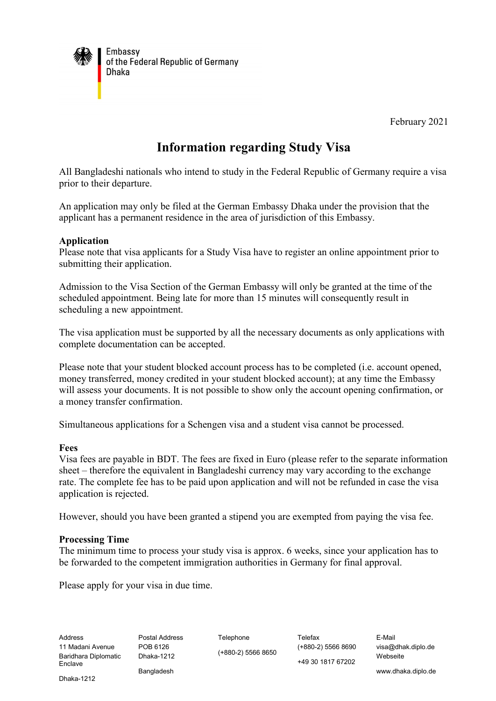

February 2021

# **Information regarding Study Visa**

All Bangladeshi nationals who intend to study in the Federal Republic of Germany require a visa prior to their departure.

An application may only be filed at the German Embassy Dhaka under the provision that the applicant has a permanent residence in the area of jurisdiction of this Embassy.

## **Application**

Please note that visa applicants for a Study Visa have to register an online appointment prior to submitting their application.

Admission to the Visa Section of the German Embassy will only be granted at the time of the scheduled appointment. Being late for more than 15 minutes will consequently result in scheduling a new appointment.

The visa application must be supported by all the necessary documents as only applications with complete documentation can be accepted.

Please note that your student blocked account process has to be completed (i.e. account opened, money transferred, money credited in your student blocked account); at any time the Embassy will assess your documents. It is not possible to show only the account opening confirmation, or a money transfer confirmation.

Simultaneous applications for a Schengen visa and a student visa cannot be processed.

#### **Fees**

Visa fees are payable in BDT. The fees are fixed in Euro (please refer to the separate information sheet – therefore the equivalent in Bangladeshi currency may vary according to the exchange rate. The complete fee has to be paid upon application and will not be refunded in case the visa application is rejected.

However, should you have been granted a stipend you are exempted from paying the visa fee.

#### **Processing Time**

The minimum time to process your study visa is approx. 6 weeks, since your application has to be forwarded to the competent immigration authorities in Germany for final approval.

Please apply for your visa in due time.

(+880-2) 5566 8650

(+880-2) 5566 8690 +49 30 1817 67202

visa@dhak.diplo.de Webseite

Dhaka-1212

**Bangladesh**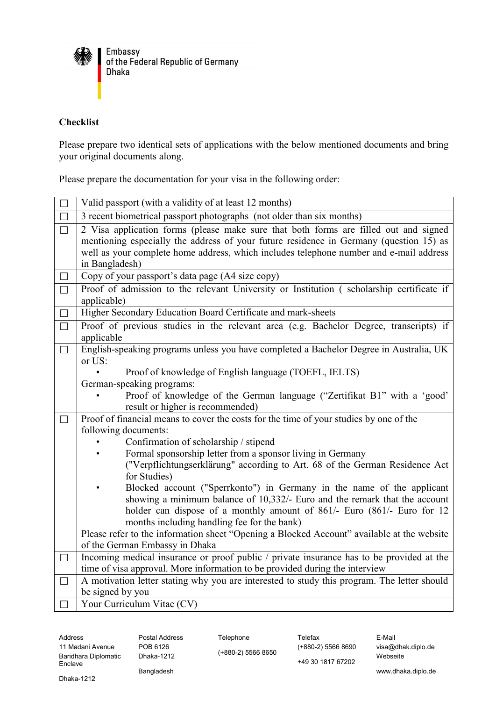

## **Checklist**

Please prepare two identical sets of applications with the below mentioned documents and bring your original documents along.

Please prepare the documentation for your visa in the following order:

|        | Valid passport (with a validity of at least 12 months)                                                                                                                                                                                                                                                                                                                                                                                                                                                                                                                                                                                       |
|--------|----------------------------------------------------------------------------------------------------------------------------------------------------------------------------------------------------------------------------------------------------------------------------------------------------------------------------------------------------------------------------------------------------------------------------------------------------------------------------------------------------------------------------------------------------------------------------------------------------------------------------------------------|
| П      | 3 recent biometrical passport photographs (not older than six months)                                                                                                                                                                                                                                                                                                                                                                                                                                                                                                                                                                        |
| $\Box$ | 2 Visa application forms (please make sure that both forms are filled out and signed<br>mentioning especially the address of your future residence in Germany (question 15) as<br>well as your complete home address, which includes telephone number and e-mail address<br>in Bangladesh)                                                                                                                                                                                                                                                                                                                                                   |
| $\Box$ | Copy of your passport's data page (A4 size copy)                                                                                                                                                                                                                                                                                                                                                                                                                                                                                                                                                                                             |
| $\Box$ | Proof of admission to the relevant University or Institution (scholarship certificate if<br>applicable)                                                                                                                                                                                                                                                                                                                                                                                                                                                                                                                                      |
| $\Box$ | Higher Secondary Education Board Certificate and mark-sheets                                                                                                                                                                                                                                                                                                                                                                                                                                                                                                                                                                                 |
| $\Box$ | Proof of previous studies in the relevant area (e.g. Bachelor Degree, transcripts) if<br>applicable                                                                                                                                                                                                                                                                                                                                                                                                                                                                                                                                          |
| $\Box$ | English-speaking programs unless you have completed a Bachelor Degree in Australia, UK<br>or US:<br>Proof of knowledge of English language (TOEFL, IELTS)<br>German-speaking programs:<br>Proof of knowledge of the German language ("Zertifikat B1" with a 'good'<br>result or higher is recommended)                                                                                                                                                                                                                                                                                                                                       |
|        | Proof of financial means to cover the costs for the time of your studies by one of the                                                                                                                                                                                                                                                                                                                                                                                                                                                                                                                                                       |
|        | following documents:<br>Confirmation of scholarship / stipend<br>Formal sponsorship letter from a sponsor living in Germany<br>("Verpflichtungserklärung" according to Art. 68 of the German Residence Act<br>for Studies)<br>Blocked account ("Sperrkonto") in Germany in the name of the applicant<br>showing a minimum balance of 10,332/- Euro and the remark that the account<br>holder can dispose of a monthly amount of 861/- Euro (861/- Euro for 12<br>months including handling fee for the bank)<br>Please refer to the information sheet "Opening a Blocked Account" available at the website<br>of the German Embassy in Dhaka |
| $\Box$ | Incoming medical insurance or proof public / private insurance has to be provided at the                                                                                                                                                                                                                                                                                                                                                                                                                                                                                                                                                     |
|        | time of visa approval. More information to be provided during the interview                                                                                                                                                                                                                                                                                                                                                                                                                                                                                                                                                                  |
| $\Box$ | A motivation letter stating why you are interested to study this program. The letter should                                                                                                                                                                                                                                                                                                                                                                                                                                                                                                                                                  |
|        | be signed by you                                                                                                                                                                                                                                                                                                                                                                                                                                                                                                                                                                                                                             |
|        | Your Curriculum Vitae (CV)                                                                                                                                                                                                                                                                                                                                                                                                                                                                                                                                                                                                                   |

Address **Postal Address** Telephone Telefax **Telefax** E-Mail 11 Madani Avenue Baridhara Diplomatic Enclave

visa@dhak.diplo.de Webseite

Bangladesh